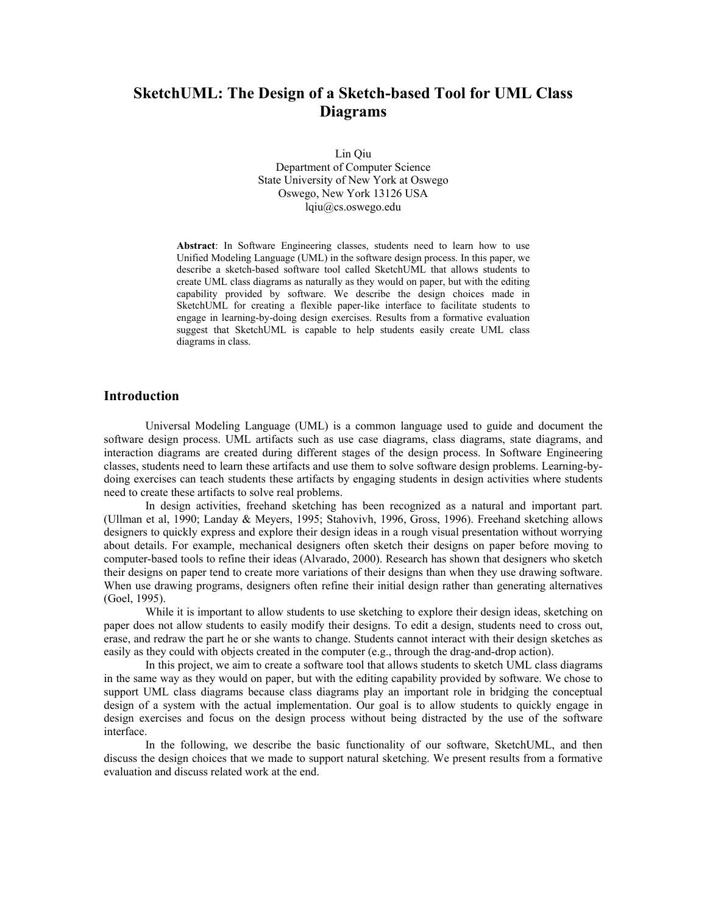# **SketchUML: The Design of a Sketch-based Tool for UML Class Diagrams**

Lin Qiu Department of Computer Science State University of New York at Oswego Oswego, New York 13126 USA lqiu@cs.oswego.edu

**Abstract**: In Software Engineering classes, students need to learn how to use Unified Modeling Language (UML) in the software design process. In this paper, we describe a sketch-based software tool called SketchUML that allows students to create UML class diagrams as naturally as they would on paper, but with the editing capability provided by software. We describe the design choices made in SketchUML for creating a flexible paper-like interface to facilitate students to engage in learning-by-doing design exercises. Results from a formative evaluation suggest that SketchUML is capable to help students easily create UML class diagrams in class.

## **Introduction**

Universal Modeling Language (UML) is a common language used to guide and document the software design process. UML artifacts such as use case diagrams, class diagrams, state diagrams, and interaction diagrams are created during different stages of the design process. In Software Engineering classes, students need to learn these artifacts and use them to solve software design problems. Learning-bydoing exercises can teach students these artifacts by engaging students in design activities where students need to create these artifacts to solve real problems.

In design activities, freehand sketching has been recognized as a natural and important part. (Ullman et al, 1990; Landay & Meyers, 1995; Stahovivh, 1996, Gross, 1996). Freehand sketching allows designers to quickly express and explore their design ideas in a rough visual presentation without worrying about details. For example, mechanical designers often sketch their designs on paper before moving to computer-based tools to refine their ideas (Alvarado, 2000). Research has shown that designers who sketch their designs on paper tend to create more variations of their designs than when they use drawing software. When use drawing programs, designers often refine their initial design rather than generating alternatives (Goel, 1995).

 While it is important to allow students to use sketching to explore their design ideas, sketching on paper does not allow students to easily modify their designs. To edit a design, students need to cross out, erase, and redraw the part he or she wants to change. Students cannot interact with their design sketches as easily as they could with objects created in the computer (e.g., through the drag-and-drop action).

In this project, we aim to create a software tool that allows students to sketch UML class diagrams in the same way as they would on paper, but with the editing capability provided by software. We chose to support UML class diagrams because class diagrams play an important role in bridging the conceptual design of a system with the actual implementation. Our goal is to allow students to quickly engage in design exercises and focus on the design process without being distracted by the use of the software interface.

In the following, we describe the basic functionality of our software, SketchUML, and then discuss the design choices that we made to support natural sketching. We present results from a formative evaluation and discuss related work at the end.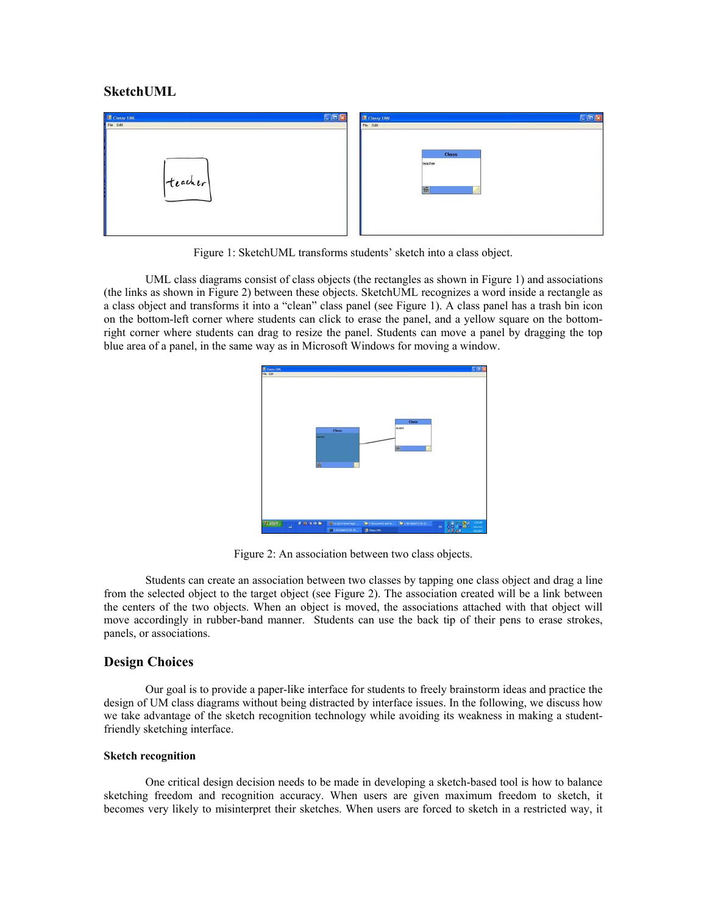## **SketchUML**

| <b>E Classy UML</b>               | $E_{B}$<br><b>EX Classy UML</b> |
|-----------------------------------|---------------------------------|
| File Edit                         | File Edit                       |
|                                   |                                 |
|                                   |                                 |
| The company's control of the com- | Class                           |
|                                   | teacher                         |
|                                   |                                 |
| teacher                           |                                 |
|                                   | 鼠                               |
|                                   |                                 |
|                                   |                                 |
|                                   |                                 |
|                                   |                                 |

Figure 1: SketchUML transforms students' sketch into a class object.

UML class diagrams consist of class objects (the rectangles as shown in Figure 1) and associations (the links as shown in Figure 2) between these objects. SketchUML recognizes a word inside a rectangle as a class object and transforms it into a "clean" class panel (see Figure 1). A class panel has a trash bin icon on the bottom-left corner where students can click to erase the panel, and a yellow square on the bottomright corner where students can drag to resize the panel. Students can move a panel by dragging the top blue area of a panel, in the same way as in Microsoft Windows for moving a window.



Figure 2: An association between two class objects.

Students can create an association between two classes by tapping one class object and drag a line from the selected object to the target object (see Figure 2). The association created will be a link between the centers of the two objects. When an object is moved, the associations attached with that object will move accordingly in rubber-band manner. Students can use the back tip of their pens to erase strokes, panels, or associations.

# **Design Choices**

Our goal is to provide a paper-like interface for students to freely brainstorm ideas and practice the design of UM class diagrams without being distracted by interface issues. In the following, we discuss how we take advantage of the sketch recognition technology while avoiding its weakness in making a studentfriendly sketching interface.

#### **Sketch recognition**

One critical design decision needs to be made in developing a sketch-based tool is how to balance sketching freedom and recognition accuracy. When users are given maximum freedom to sketch, it becomes very likely to misinterpret their sketches. When users are forced to sketch in a restricted way, it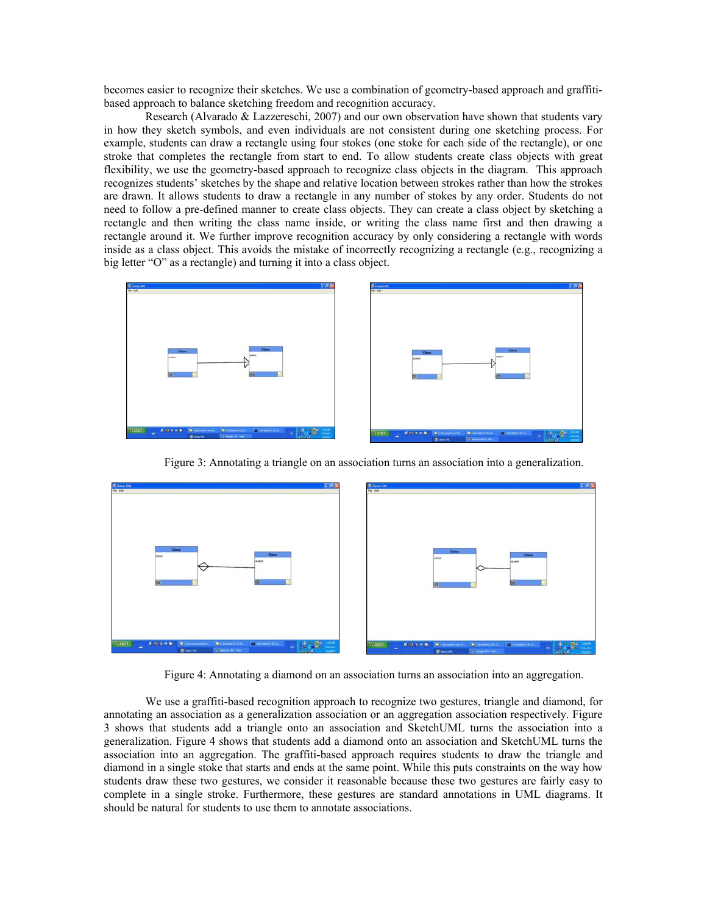becomes easier to recognize their sketches. We use a combination of geometry-based approach and graffitibased approach to balance sketching freedom and recognition accuracy.

Research (Alvarado & Lazzereschi, 2007) and our own observation have shown that students vary in how they sketch symbols, and even individuals are not consistent during one sketching process. For example, students can draw a rectangle using four stokes (one stoke for each side of the rectangle), or one stroke that completes the rectangle from start to end. To allow students create class objects with great flexibility, we use the geometry-based approach to recognize class objects in the diagram. This approach recognizes students' sketches by the shape and relative location between strokes rather than how the strokes are drawn. It allows students to draw a rectangle in any number of stokes by any order. Students do not need to follow a pre-defined manner to create class objects. They can create a class object by sketching a rectangle and then writing the class name inside, or writing the class name first and then drawing a rectangle around it. We further improve recognition accuracy by only considering a rectangle with words inside as a class object. This avoids the mistake of incorrectly recognizing a rectangle (e.g., recognizing a big letter "O" as a rectangle) and turning it into a class object.



Figure 3: Annotating a triangle on an association turns an association into a generalization.



Figure 4: Annotating a diamond on an association turns an association into an aggregation.

We use a graffiti-based recognition approach to recognize two gestures, triangle and diamond, for annotating an association as a generalization association or an aggregation association respectively. Figure 3 shows that students add a triangle onto an association and SketchUML turns the association into a generalization. Figure 4 shows that students add a diamond onto an association and SketchUML turns the association into an aggregation. The graffiti-based approach requires students to draw the triangle and diamond in a single stoke that starts and ends at the same point. While this puts constraints on the way how students draw these two gestures, we consider it reasonable because these two gestures are fairly easy to complete in a single stroke. Furthermore, these gestures are standard annotations in UML diagrams. It should be natural for students to use them to annotate associations.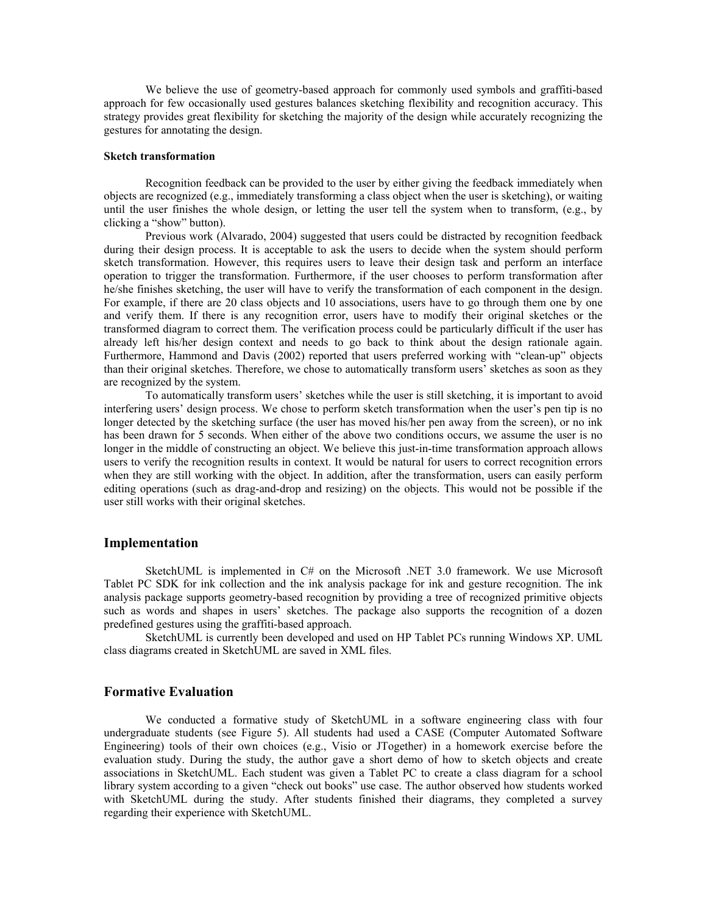We believe the use of geometry-based approach for commonly used symbols and graffiti-based approach for few occasionally used gestures balances sketching flexibility and recognition accuracy. This strategy provides great flexibility for sketching the majority of the design while accurately recognizing the gestures for annotating the design.

#### **Sketch transformation**

Recognition feedback can be provided to the user by either giving the feedback immediately when objects are recognized (e.g., immediately transforming a class object when the user is sketching), or waiting until the user finishes the whole design, or letting the user tell the system when to transform, (e.g., by clicking a "show" button).

Previous work (Alvarado, 2004) suggested that users could be distracted by recognition feedback during their design process. It is acceptable to ask the users to decide when the system should perform sketch transformation. However, this requires users to leave their design task and perform an interface operation to trigger the transformation. Furthermore, if the user chooses to perform transformation after he/she finishes sketching, the user will have to verify the transformation of each component in the design. For example, if there are 20 class objects and 10 associations, users have to go through them one by one and verify them. If there is any recognition error, users have to modify their original sketches or the transformed diagram to correct them. The verification process could be particularly difficult if the user has already left his/her design context and needs to go back to think about the design rationale again. Furthermore, Hammond and Davis (2002) reported that users preferred working with "clean-up" objects than their original sketches. Therefore, we chose to automatically transform users' sketches as soon as they are recognized by the system.

To automatically transform users' sketches while the user is still sketching, it is important to avoid interfering users' design process. We chose to perform sketch transformation when the user's pen tip is no longer detected by the sketching surface (the user has moved his/her pen away from the screen), or no ink has been drawn for 5 seconds. When either of the above two conditions occurs, we assume the user is no longer in the middle of constructing an object. We believe this just-in-time transformation approach allows users to verify the recognition results in context. It would be natural for users to correct recognition errors when they are still working with the object. In addition, after the transformation, users can easily perform editing operations (such as drag-and-drop and resizing) on the objects. This would not be possible if the user still works with their original sketches.

## **Implementation**

SketchUML is implemented in C# on the Microsoft .NET 3.0 framework. We use Microsoft Tablet PC SDK for ink collection and the ink analysis package for ink and gesture recognition. The ink analysis package supports geometry-based recognition by providing a tree of recognized primitive objects such as words and shapes in users' sketches. The package also supports the recognition of a dozen predefined gestures using the graffiti-based approach.

SketchUML is currently been developed and used on HP Tablet PCs running Windows XP. UML class diagrams created in SketchUML are saved in XML files.

## **Formative Evaluation**

We conducted a formative study of SketchUML in a software engineering class with four undergraduate students (see Figure 5). All students had used a CASE (Computer Automated Software Engineering) tools of their own choices (e.g., Visio or JTogether) in a homework exercise before the evaluation study. During the study, the author gave a short demo of how to sketch objects and create associations in SketchUML. Each student was given a Tablet PC to create a class diagram for a school library system according to a given "check out books" use case. The author observed how students worked with SketchUML during the study. After students finished their diagrams, they completed a survey regarding their experience with SketchUML.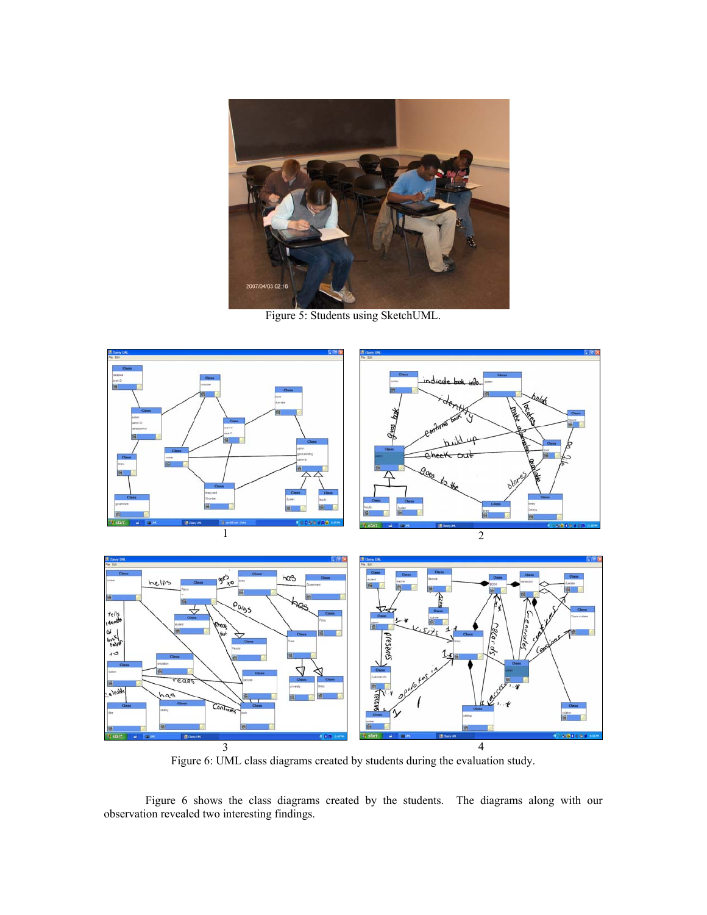

Figure 5: Students using SketchUML.





 $3 \hspace{1.5cm} 4$ Figure 6: UML class diagrams created by students during the evaluation study.

Figure 6 shows the class diagrams created by the students. The diagrams along with our observation revealed two interesting findings.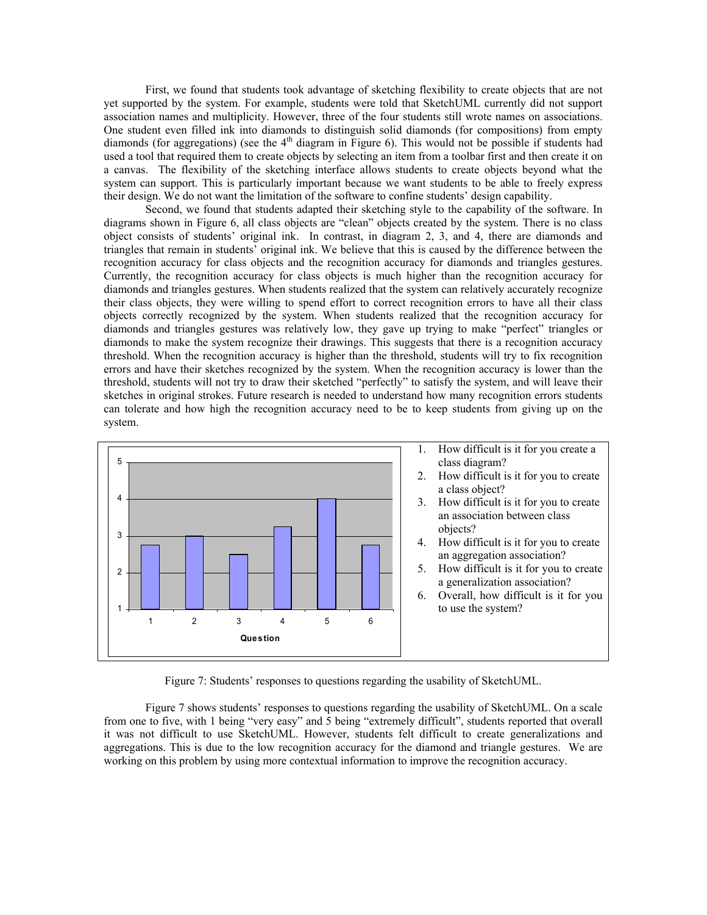First, we found that students took advantage of sketching flexibility to create objects that are not yet supported by the system. For example, students were told that SketchUML currently did not support association names and multiplicity. However, three of the four students still wrote names on associations. One student even filled ink into diamonds to distinguish solid diamonds (for compositions) from empty diamonds (for aggregations) (see the  $4<sup>th</sup>$  diagram in Figure 6). This would not be possible if students had used a tool that required them to create objects by selecting an item from a toolbar first and then create it on a canvas. The flexibility of the sketching interface allows students to create objects beyond what the system can support. This is particularly important because we want students to be able to freely express their design. We do not want the limitation of the software to confine students' design capability.

Second, we found that students adapted their sketching style to the capability of the software. In diagrams shown in Figure 6, all class objects are "clean" objects created by the system. There is no class object consists of students' original ink. In contrast, in diagram 2, 3, and 4, there are diamonds and triangles that remain in students' original ink. We believe that this is caused by the difference between the recognition accuracy for class objects and the recognition accuracy for diamonds and triangles gestures. Currently, the recognition accuracy for class objects is much higher than the recognition accuracy for diamonds and triangles gestures. When students realized that the system can relatively accurately recognize their class objects, they were willing to spend effort to correct recognition errors to have all their class objects correctly recognized by the system. When students realized that the recognition accuracy for diamonds and triangles gestures was relatively low, they gave up trying to make "perfect" triangles or diamonds to make the system recognize their drawings. This suggests that there is a recognition accuracy threshold. When the recognition accuracy is higher than the threshold, students will try to fix recognition errors and have their sketches recognized by the system. When the recognition accuracy is lower than the threshold, students will not try to draw their sketched "perfectly" to satisfy the system, and will leave their sketches in original strokes. Future research is needed to understand how many recognition errors students can tolerate and how high the recognition accuracy need to be to keep students from giving up on the system.



Figure 7: Students' responses to questions regarding the usability of SketchUML.

Figure 7 shows students' responses to questions regarding the usability of SketchUML. On a scale from one to five, with 1 being "very easy" and 5 being "extremely difficult", students reported that overall it was not difficult to use SketchUML. However, students felt difficult to create generalizations and aggregations. This is due to the low recognition accuracy for the diamond and triangle gestures. We are working on this problem by using more contextual information to improve the recognition accuracy.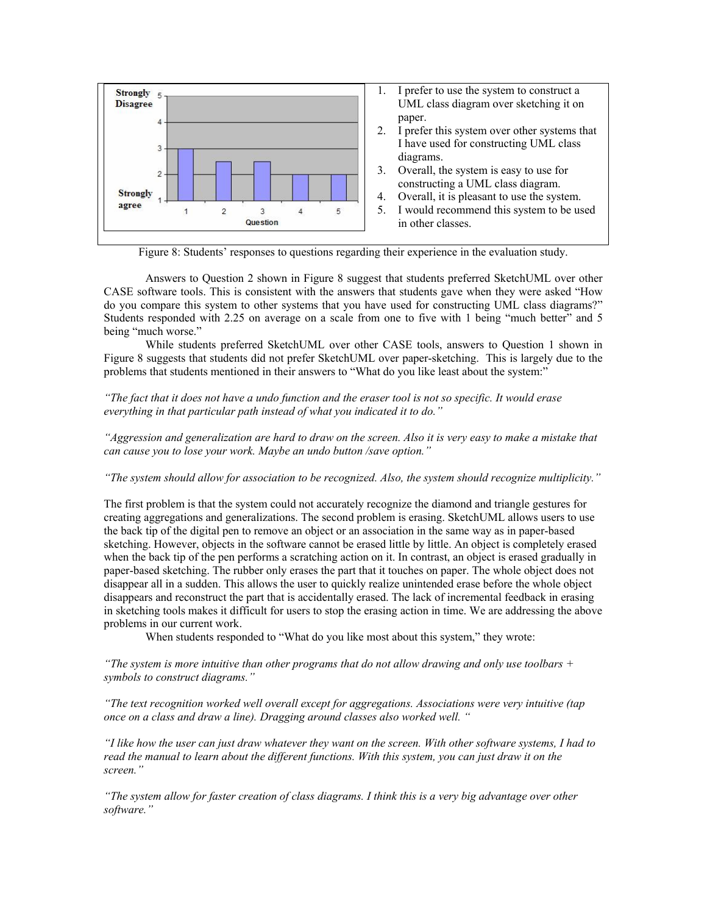

Figure 8: Students' responses to questions regarding their experience in the evaluation study.

Answers to Question 2 shown in Figure 8 suggest that students preferred SketchUML over other CASE software tools. This is consistent with the answers that students gave when they were asked "How do you compare this system to other systems that you have used for constructing UML class diagrams?" Students responded with 2.25 on average on a scale from one to five with 1 being "much better" and 5 being "much worse."

While students preferred SketchUML over other CASE tools, answers to Question 1 shown in Figure 8 suggests that students did not prefer SketchUML over paper-sketching. This is largely due to the problems that students mentioned in their answers to "What do you like least about the system:"

*"The fact that it does not have a undo function and the eraser tool is not so specific. It would erase everything in that particular path instead of what you indicated it to do."* 

*"Aggression and generalization are hard to draw on the screen. Also it is very easy to make a mistake that can cause you to lose your work. Maybe an undo button /save option."* 

*"The system should allow for association to be recognized. Also, the system should recognize multiplicity."* 

The first problem is that the system could not accurately recognize the diamond and triangle gestures for creating aggregations and generalizations. The second problem is erasing. SketchUML allows users to use the back tip of the digital pen to remove an object or an association in the same way as in paper-based sketching. However, objects in the software cannot be erased little by little. An object is completely erased when the back tip of the pen performs a scratching action on it. In contrast, an object is erased gradually in paper-based sketching. The rubber only erases the part that it touches on paper. The whole object does not disappear all in a sudden. This allows the user to quickly realize unintended erase before the whole object disappears and reconstruct the part that is accidentally erased. The lack of incremental feedback in erasing in sketching tools makes it difficult for users to stop the erasing action in time. We are addressing the above problems in our current work.

When students responded to "What do you like most about this system," they wrote:

*"The system is more intuitive than other programs that do not allow drawing and only use toolbars + symbols to construct diagrams."* 

*"The text recognition worked well overall except for aggregations. Associations were very intuitive (tap once on a class and draw a line). Dragging around classes also worked well. "* 

*"I like how the user can just draw whatever they want on the screen. With other software systems, I had to read the manual to learn about the different functions. With this system, you can just draw it on the screen."* 

*"The system allow for faster creation of class diagrams. I think this is a very big advantage over other software."*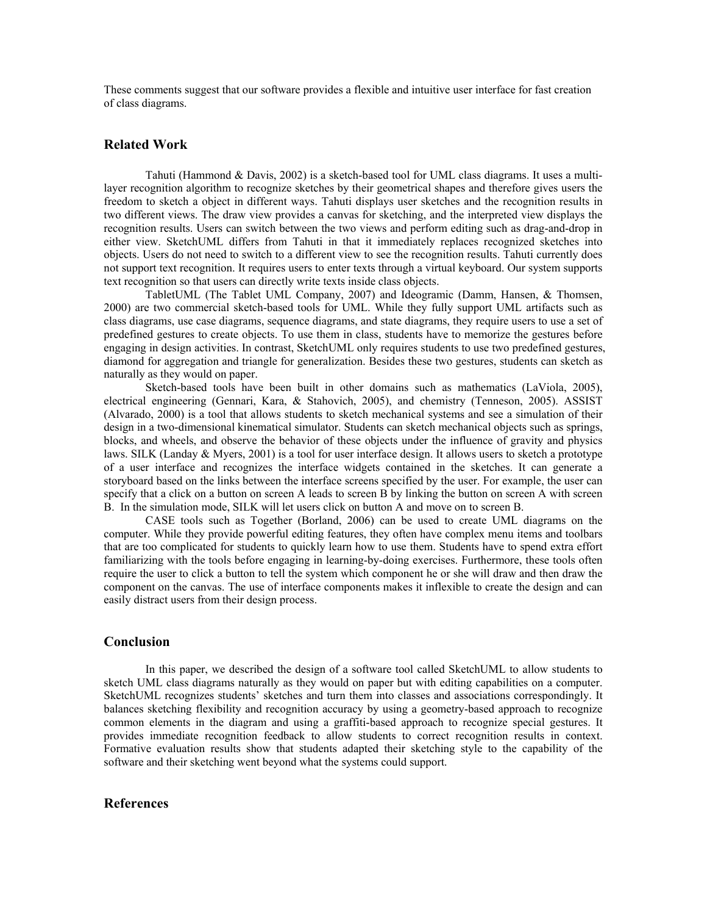These comments suggest that our software provides a flexible and intuitive user interface for fast creation of class diagrams.

## **Related Work**

Tahuti (Hammond & Davis, 2002) is a sketch-based tool for UML class diagrams. It uses a multilayer recognition algorithm to recognize sketches by their geometrical shapes and therefore gives users the freedom to sketch a object in different ways. Tahuti displays user sketches and the recognition results in two different views. The draw view provides a canvas for sketching, and the interpreted view displays the recognition results. Users can switch between the two views and perform editing such as drag-and-drop in either view. SketchUML differs from Tahuti in that it immediately replaces recognized sketches into objects. Users do not need to switch to a different view to see the recognition results. Tahuti currently does not support text recognition. It requires users to enter texts through a virtual keyboard. Our system supports text recognition so that users can directly write texts inside class objects.

TabletUML (The Tablet UML Company, 2007) and Ideogramic (Damm, Hansen, & Thomsen, 2000) are two commercial sketch-based tools for UML. While they fully support UML artifacts such as class diagrams, use case diagrams, sequence diagrams, and state diagrams, they require users to use a set of predefined gestures to create objects. To use them in class, students have to memorize the gestures before engaging in design activities. In contrast, SketchUML only requires students to use two predefined gestures, diamond for aggregation and triangle for generalization. Besides these two gestures, students can sketch as naturally as they would on paper.

Sketch-based tools have been built in other domains such as mathematics (LaViola, 2005), electrical engineering (Gennari, Kara, & Stahovich, 2005), and chemistry (Tenneson, 2005). ASSIST (Alvarado, 2000) is a tool that allows students to sketch mechanical systems and see a simulation of their design in a two-dimensional kinematical simulator. Students can sketch mechanical objects such as springs, blocks, and wheels, and observe the behavior of these objects under the influence of gravity and physics laws. SILK (Landay & Myers, 2001) is a tool for user interface design. It allows users to sketch a prototype of a user interface and recognizes the interface widgets contained in the sketches. It can generate a storyboard based on the links between the interface screens specified by the user. For example, the user can specify that a click on a button on screen A leads to screen B by linking the button on screen A with screen B. In the simulation mode, SILK will let users click on button A and move on to screen B.

CASE tools such as Together (Borland, 2006) can be used to create UML diagrams on the computer. While they provide powerful editing features, they often have complex menu items and toolbars that are too complicated for students to quickly learn how to use them. Students have to spend extra effort familiarizing with the tools before engaging in learning-by-doing exercises. Furthermore, these tools often require the user to click a button to tell the system which component he or she will draw and then draw the component on the canvas. The use of interface components makes it inflexible to create the design and can easily distract users from their design process.

## **Conclusion**

In this paper, we described the design of a software tool called SketchUML to allow students to sketch UML class diagrams naturally as they would on paper but with editing capabilities on a computer. SketchUML recognizes students' sketches and turn them into classes and associations correspondingly. It balances sketching flexibility and recognition accuracy by using a geometry-based approach to recognize common elements in the diagram and using a graffiti-based approach to recognize special gestures. It provides immediate recognition feedback to allow students to correct recognition results in context. Formative evaluation results show that students adapted their sketching style to the capability of the software and their sketching went beyond what the systems could support.

#### **References**